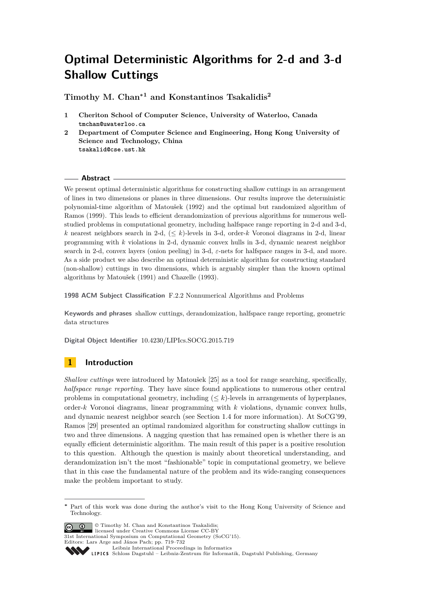**Timothy M. Chan<sup>∗</sup><sup>1</sup> and Konstantinos Tsakalidis<sup>2</sup>**

- **1 Cheriton School of Computer Science, University of Waterloo, Canada tmchan@uwaterloo.ca**
- **2 Department of Computer Science and Engineering, Hong Kong University of Science and Technology, China tsakalid@cse.ust.hk**

#### **Abstract**

We present optimal deterministic algorithms for constructing shallow cuttings in an arrangement of lines in two dimensions or planes in three dimensions. Our results improve the deterministic polynomial-time algorithm of Matoušek (1992) and the optimal but randomized algorithm of Ramos (1999). This leads to efficient derandomization of previous algorithms for numerous wellstudied problems in computational geometry, including halfspace range reporting in 2-d and 3-d, *k* nearest neighbors search in 2-d, (≤ *k*)-levels in 3-d, order-*k* Voronoi diagrams in 2-d, linear programming with *k* violations in 2-d, dynamic convex hulls in 3-d, dynamic nearest neighbor search in 2-d, convex layers (onion peeling) in 3-d, *ε*-nets for halfspace ranges in 3-d, and more. As a side product we also describe an optimal deterministic algorithm for constructing standard (non-shallow) cuttings in two dimensions, which is arguably simpler than the known optimal algorithms by Matoušek (1991) and Chazelle (1993).

**1998 ACM Subject Classification** F.2.2 Nonnumerical Algorithms and Problems

**Keywords and phrases** shallow cuttings, derandomization, halfspace range reporting, geometric data structures

**Digital Object Identifier** [10.4230/LIPIcs.SOCG.2015.719](http://dx.doi.org/10.4230/LIPIcs.SOCG.2015.719)

# **1 Introduction**

*Shallow cuttings* were introduced by Matoušek [\[25\]](#page-11-0) as a tool for range searching, specifically, *halfspace range reporting*. They have since found applications to numerous other central problems in computational geometry, including  $(\leq k)$ -levels in arrangements of hyperplanes, order-*k* Voronoi diagrams, linear programming with *k* violations, dynamic convex hulls, and dynamic nearest neighbor search (see Section [1.4](#page-3-0) for more information). At SoCG'99, Ramos [\[29\]](#page-11-1) presented an optimal randomized algorithm for constructing shallow cuttings in two and three dimensions. A nagging question that has remained open is whether there is an equally efficient deterministic algorithm. The main result of this paper is a positive resolution to this question. Although the question is mainly about theoretical understanding, and derandomization isn't the most "fashionable" topic in computational geometry, we believe that in this case the fundamental nature of the problem and its wide-ranging consequences make the problem important to study.

 $\bigcirc$   $\bigcirc$   $\bigcirc$  Timothy M. Chan and Konstantinos Tsakalidis;

licensed under Creative Commons License CC-BY

31st International Symposium on Computational Geometry (SoCG'15).

[Schloss Dagstuhl – Leibniz-Zentrum für Informatik, Dagstuhl Publishing, Germany](http://www.dagstuhl.de)

**<sup>∗</sup>** Part of this work was done during the author's visit to the Hong Kong University of Science and Technology.

Editors: Lars Arge and János Pach; pp. 719[–732](#page-13-0) [Leibniz International Proceedings in Informatics](http://www.dagstuhl.de/lipics/)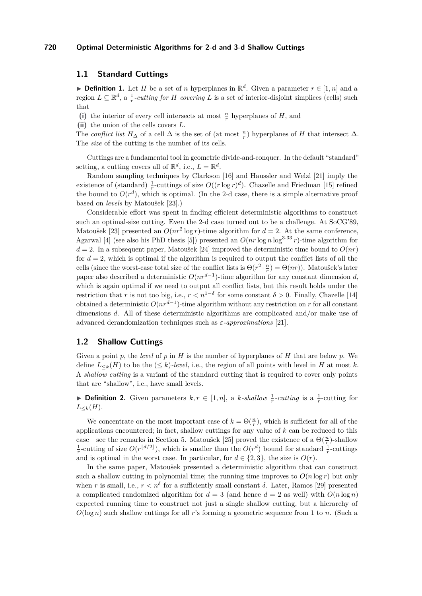## **1.1 Standard Cuttings**

▶ **Definition 1.** Let *H* be a set of *n* hyperplanes in  $\mathbb{R}^d$ . Given a parameter  $r \in [1, n]$  and a region  $L \subseteq \mathbb{R}^d$ , a  $\frac{1}{r}$ -cutting for *H* covering *L* is a set of interior-disjoint simplices (cells) such that

(i) the interior of every cell intersects at most  $\frac{n}{r}$  hyperplanes of *H*, and

**(ii)** the union of the cells covers *L*.

The *conflict list*  $H_{\Delta}$  of a cell  $\Delta$  is the set of (at most  $\frac{n}{r}$ ) hyperplanes of *H* that intersect  $\Delta$ . The *size* of the cutting is the number of its cells.

Cuttings are a fundamental tool in geometric divide-and-conquer. In the default "standard" setting, a cutting covers all of  $\mathbb{R}^d$ , i.e.,  $L = \mathbb{R}^d$ .

Random sampling techniques by Clarkson [\[16\]](#page-10-0) and Haussler and Welzl [\[21\]](#page-11-2) imply the existence of (standard)  $\frac{1}{r}$ -cuttings of size  $O((r \log r)^d)$ . Chazelle and Friedman [\[15\]](#page-10-1) refined the bound to  $O(r^d)$ , which is optimal. (In the 2-d case, there is a simple alternative proof based on *levels* by Matoušek [\[23\]](#page-11-3).)

Considerable effort was spent in finding efficient deterministic algorithms to construct such an optimal-size cutting. Even the 2-d case turned out to be a challenge. At SoCG'89, Matoušek [\[23\]](#page-11-3) presented an  $O(nr^2 \log r)$ -time algorithm for  $d = 2$ . At the same conference, Agarwal [\[4\]](#page-10-2) (see also his PhD thesis [\[5\]](#page-10-3)) presented an  $O(nr \log n \log^{3.33} r)$ -time algorithm for  $d = 2$ . In a subsequent paper, Matoušek [\[24\]](#page-11-4) improved the deterministic time bound to  $O(nr)$ for  $d = 2$ , which is optimal if the algorithm is required to output the conflict lists of all the cells (since the worst-case total size of the conflict lists is  $\Theta(r^2 \cdot \frac{n}{r}) = \Theta(nr)$ ). Matoušek's later paper also described a deterministic  $O(nr^{d-1})$ -time algorithm for any constant dimension *d*, which is again optimal if we need to output all conflict lists, but this result holds under the restriction that *r* is not too big, i.e.,  $r < n^{1-\delta}$  for some constant  $\delta > 0$ . Finally, Chazelle [\[14\]](#page-10-4) obtained a deterministic  $O(nr^{d-1})$ -time algorithm without any restriction on *r* for all constant dimensions *d*. All of these deterministic algorithms are complicated and/or make use of advanced derandomization techniques such as *ε-approximations* [\[21\]](#page-11-2).

### **1.2 Shallow Cuttings**

Given a point *p*, the *level* of *p* in *H* is the number of hyperplanes of *H* that are below *p*. We define  $L_{\leq k}(H)$  to be the  $(\leq k)$ *-level*, i.e., the region of all points with level in *H* at most *k*. A *shallow cutting* is a variant of the standard cutting that is required to cover only points that are "shallow", i.e., have small levels.

**Definition 2.** Given parameters  $k, r \in [1, n]$ , a  $k$ -shallow  $\frac{1}{r}$ -cutting is a  $\frac{1}{r}$ -cutting for  $L_{\leq k}(H)$ .

We concentrate on the most important case of  $k = \Theta(\frac{n}{r})$ , which is sufficient for all of the applications encountered; in fact, shallow cuttings for any value of *k* can be reduced to this case—see the remarks in Section [5.](#page-9-0) Matoušek [\[25\]](#page-11-0) proved the existence of a  $\Theta(\frac{n}{r})$ -shallow  $\frac{1}{r}$ -cutting of size  $O(r^{\lfloor d/2 \rfloor})$ , which is smaller than the  $O(r^d)$  bound for standard  $\frac{1}{r}$ -cuttings and is optimal in the worst case. In particular, for  $d \in \{2, 3\}$ , the size is  $O(r)$ .

In the same paper, Matoušek presented a deterministic algorithm that can construct such a shallow cutting in polynomial time; the running time improves to  $O(n \log r)$  but only when *r* is small, i.e.,  $r < n^{\delta}$  for a sufficiently small constant  $\delta$ . Later, Ramos [\[29\]](#page-11-1) presented a complicated randomized algorithm for  $d = 3$  (and hence  $d = 2$  as well) with  $O(n \log n)$ expected running time to construct not just a single shallow cutting, but a hierarchy of *O*(log *n*) such shallow cuttings for all *r*'s forming a geometric sequence from 1 to *n*. (Such a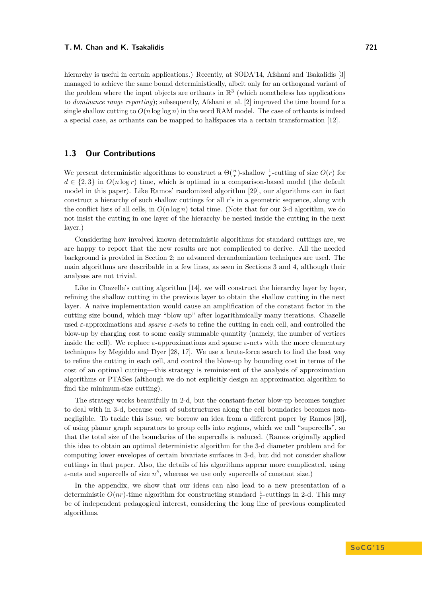hierarchy is useful in certain applications.) Recently, at SODA'14, Afshani and Tsakalidis [\[3\]](#page-10-5) managed to achieve the same bound deterministically, albeit only for an orthogonal variant of the problem where the input objects are orthants in  $\mathbb{R}^3$  (which nonetheless has applications to *dominance range reporting*); subsequently, Afshani et al. [\[2\]](#page-10-6) improved the time bound for a single shallow cutting to  $O(n \log \log n)$  in the word RAM model. The case of orthants is indeed a special case, as orthants can be mapped to halfspaces via a certain transformation [\[12\]](#page-10-7).

# **1.3 Our Contributions**

We present deterministic algorithms to construct a  $\Theta(\frac{n}{r})$ -shallow  $\frac{1}{r}$ -cutting of size  $O(r)$  for  $d \in \{2,3\}$  in  $O(n \log r)$  time, which is optimal in a comparison-based model (the default model in this paper). Like Ramos' randomized algorithm [\[29\]](#page-11-1), our algorithms can in fact construct a hierarchy of such shallow cuttings for all *r*'s in a geometric sequence, along with the conflict lists of all cells, in  $O(n \log n)$  total time. (Note that for our 3-d algorithm, we do not insist the cutting in one layer of the hierarchy be nested inside the cutting in the next layer.)

Considering how involved known deterministic algorithms for standard cuttings are, we are happy to report that the new results are not complicated to derive. All the needed background is provided in Section [2;](#page-4-0) no advanced derandomization techniques are used. The main algorithms are describable in a few lines, as seen in Sections [3](#page-5-0) and [4,](#page-7-0) although their analyses are not trivial.

Like in Chazelle's cutting algorithm [\[14\]](#page-10-4), we will construct the hierarchy layer by layer, refining the shallow cutting in the previous layer to obtain the shallow cutting in the next layer. A naive implementation would cause an amplification of the constant factor in the cutting size bound, which may "blow up" after logarithmically many iterations. Chazelle used *ε*-approximations and *sparse ε-nets* to refine the cutting in each cell, and controlled the blow-up by charging cost to some easily summable quantity (namely, the number of vertices inside the cell). We replace  $\varepsilon$ -approximations and sparse  $\varepsilon$ -nets with the more elementary techniques by Megiddo and Dyer [\[28,](#page-11-5) [17\]](#page-10-8). We use a brute-force search to find the best way to refine the cutting in each cell, and control the blow-up by bounding cost in terms of the cost of an optimal cutting—this strategy is reminiscent of the analysis of approximation algorithms or PTASes (although we do not explicitly design an approximation algorithm to find the minimum-size cutting).

The strategy works beautifully in 2-d, but the constant-factor blow-up becomes tougher to deal with in 3-d, because cost of substructures along the cell boundaries becomes nonnegligible. To tackle this issue, we borrow an idea from a different paper by Ramos [\[30\]](#page-11-6), of using planar graph separators to group cells into regions, which we call "supercells", so that the total size of the boundaries of the supercells is reduced. (Ramos originally applied this idea to obtain an optimal deterministic algorithm for the 3-d diameter problem and for computing lower envelopes of certain bivariate surfaces in 3-d, but did not consider shallow cuttings in that paper. Also, the details of his algorithms appear more complicated, using *ε*-nets and supercells of size  $n^{\delta}$ , whereas we use only supercells of constant size.)

In the appendix, we show that our ideas can also lead to a new presentation of a deterministic  $O(nr)$ -time algorithm for constructing standard  $\frac{1}{r}$ -cuttings in 2-d. This may be of independent pedagogical interest, considering the long line of previous complicated algorithms.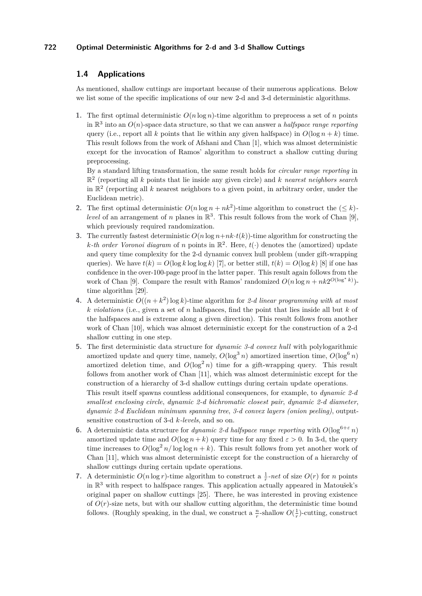# <span id="page-3-0"></span>**1.4 Applications**

As mentioned, shallow cuttings are important because of their numerous applications. Below we list some of the specific implications of our new 2-d and 3-d deterministic algorithms.

**1.** The first optimal deterministic  $O(n \log n)$ -time algorithm to preprocess a set of *n* points in  $\mathbb{R}^3$  into an  $O(n)$ -space data structure, so that we can answer a *halfspace range reporting* query (i.e., report all *k* points that lie within any given halfspace) in  $O(\log n + k)$  time. This result follows from the work of Afshani and Chan [\[1\]](#page-10-9), which was almost deterministic except for the invocation of Ramos' algorithm to construct a shallow cutting during preprocessing.

By a standard lifting transformation, the same result holds for *circular range reporting* in R 2 (reporting all *k* points that lie inside any given circle) and *k nearest neighbors search* in  $\mathbb{R}^2$  (reporting all  $k$  nearest neighbors to a given point, in arbitrary order, under the Euclidean metric).

- **2.** The first optimal deterministic  $O(n \log n + nk^2)$ -time algorithm to construct the  $(\leq k)$ *level* of an arrangement of *n* planes in  $\mathbb{R}^3$ . This result follows from the work of Chan [\[9\]](#page-10-10), which previously required randomization.
- **3.** The currently fastest deterministic  $O(n \log n + nk \cdot t(k))$ -time algorithm for constructing the *k*-th order Voronoi diagram of *n* points in  $\mathbb{R}^2$ . Here,  $t(\cdot)$  denotes the (amortized) update and query time complexity for the 2-d dynamic convex hull problem (under gift-wrapping queries). We have  $t(k) = O(\log k \log \log k)$  [\[7\]](#page-10-11), or better still,  $t(k) = O(\log k)$  [\[8\]](#page-10-12) if one has confidence in the over-100-page proof in the latter paper. This result again follows from the work of Chan [\[9\]](#page-10-10). Compare the result with Ramos' randomized  $O(n \log n + nk2^{O(\log^* k)})$ time algorithm [\[29\]](#page-11-1).
- **4.** A deterministic  $O((n+k^2)\log k)$ -time algorithm for 2-d linear programming with at most *k violations* (i.e., given a set of *n* halfspaces, find the point that lies inside all but *k* of the halfspaces and is extreme along a given direction). This result follows from another work of Chan [\[10\]](#page-10-13), which was almost deterministic except for the construction of a 2-d shallow cutting in one step.
- **5.** The first deterministic data structure for *dynamic 3-d convex hull* with polylogarithmic amortized update and query time, namely,  $O(\log^3 n)$  amortized insertion time,  $O(\log^6 n)$ amortized deletion time, and  $O(\log^2 n)$  time for a gift-wrapping query. This result follows from another work of Chan [\[11\]](#page-10-14), which was almost deterministic except for the construction of a hierarchy of 3-d shallow cuttings during certain update operations. This result itself spawns countless additional consequences, for example, to *dynamic 2-d smallest enclosing circle*, *dynamic 2-d bichromatic closest pair*, *dynamic 2-d diameter*, *dynamic 2-d Euclidean minimum spanning tree*, *3-d convex layers (onion peeling)*, output-
- sensitive construction of 3-d *k-levels*, and so on. **6.** A deterministic data structure for *dynamic 2-d halfspace range reporting* with  $O(\log^{6+\epsilon} n)$ amortized update time and  $O(\log n + k)$  query time for any fixed  $\varepsilon > 0$ . In 3-d, the query time increases to  $O(\log^2 n/\log \log n + k)$ . This result follows from yet another work of Chan [\[11\]](#page-10-14), which was almost deterministic except for the construction of a hierarchy of shallow cuttings during certain update operations.
- **7.** A deterministic  $O(n \log r)$ -time algorithm to construct a  $\frac{1}{r}$ -net of size  $O(r)$  for *n* points in R <sup>3</sup> with respect to halfspace ranges. This application actually appeared in Matoušek's original paper on shallow cuttings [\[25\]](#page-11-0). There, he was interested in proving existence of  $O(r)$ -size nets, but with our shallow cutting algorithm, the deterministic time bound follows. (Roughly speaking, in the dual, we construct a  $\frac{n}{r}$ -shallow  $O(\frac{1}{r})$ -cutting, construct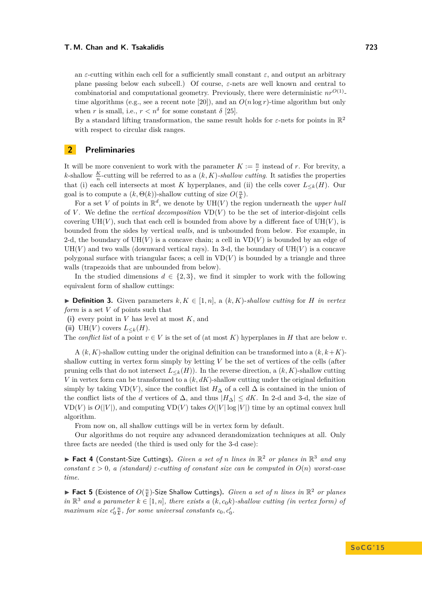an *ε*-cutting within each cell for a sufficiently small constant  $\varepsilon$ , and output an arbitrary plane passing below each subcell.) Of course, *ε*-nets are well known and central to combinatorial and computational geometry. Previously, there were deterministic  $nr^{O(1)}$ -time algorithms (e.g., see a recent note [\[20\]](#page-10-15)), and an  $O(n \log r)$ -time algorithm but only when *r* is small, i.e.,  $r < n^{\delta}$  for some constant  $\delta$  [\[25\]](#page-11-0).

By a standard lifting transformation, the same result holds for  $\varepsilon$ -nets for points in  $\mathbb{R}^2$ with respect to circular disk ranges.

### <span id="page-4-0"></span>**2 Preliminaries**

It will be more convenient to work with the parameter  $K := \frac{n}{r}$  instead of *r*. For brevity, a *k*-shallow  $\frac{K}{n}$ -cutting will be referred to as a  $(k, K)$ -shallow cutting. It satisfies the properties that (i) each cell intersects at most *K* hyperplanes, and (ii) the cells cover  $L_{\leq k}(H)$ . Our goal is to compute a  $(k, \Theta(k))$ -shallow cutting of size  $O(\frac{n}{k})$ .

For a set *V* of points in  $\mathbb{R}^d$ , we denote by  $UH(V)$  the region underneath the *upper huli* of *V*. We define the *vertical decomposition*  $VD(V)$  to be the set of interior-disjoint cells covering  $UH(V)$ , such that each cell is bounded from above by a different face of  $UH(V)$ , is bounded from the sides by vertical *walls*, and is unbounded from below. For example, in 2-d, the boundary of  $UH(V)$  is a concave chain; a cell in  $VD(V)$  is bounded by an edge of  $UH(V)$  and two walls (downward vertical rays). In 3-d, the boundary of  $UH(V)$  is a concave polygonal surface with triangular faces; a cell in  $VD(V)$  is bounded by a triangle and three walls (trapezoids that are unbounded from below).

In the studied dimensions  $d \in \{2, 3\}$ , we find it simpler to work with the following equivalent form of shallow cuttings:

▶ **Definition 3.** Given parameters  $k, K \in [1, n]$ , a  $(k, K)$ -shallow cutting for *H* in vertex *form* is a set *V* of points such that

**(i)** every point in *V* has level at most *K*, and

(ii) UH( $V$ ) covers  $L_{< k}(H)$ .

The *conflict list* of a point  $v \in V$  is the set of (at most K) hyperplanes in H that are below v.

A  $(k, K)$ -shallow cutting under the original definition can be transformed into a  $(k, k+K)$ shallow cutting in vertex form simply by letting *V* be the set of vertices of the cells (after pruning cells that do not intersect  $L_{\leq k}(H)$ ). In the reverse direction, a  $(k, K)$ -shallow cutting *V* in vertex form can be transformed to a (*k, dK*)-shallow cutting under the original definition simply by taking VD(*V*), since the conflict list  $H_{\Delta}$  of a cell  $\Delta$  is contained in the union of the conflict lists of the *d* vertices of  $\Delta$ , and thus  $|H_{\Delta}| \leq dK$ . In 2-d and 3-d, the size of  $VD(V)$  is  $O(|V|)$ , and computing  $VD(V)$  takes  $O(|V| \log |V|)$  time by an optimal convex hull algorithm.

From now on, all shallow cuttings will be in vertex form by default.

Our algorithms do not require any advanced derandomization techniques at all. Only three facts are needed (the third is used only for the 3-d case):

<span id="page-4-1"></span>▶ Fact 4 (Constant-Size Cuttings). *Given a set of n lines in*  $\mathbb{R}^2$  *or planes in*  $\mathbb{R}^3$  *and any constant*  $\epsilon > 0$ , a (standard)  $\epsilon$ -cutting of constant size can be computed in  $O(n)$  worst-case *time.*

<span id="page-4-2"></span>▶ Fact 5 (Existence of  $O(\frac{n}{k})$ -Size Shallow Cuttings). *Given a set of n lines in*  $\mathbb{R}^2$  *or planes*  $in \mathbb{R}^3$  and a parameter  $k \in [1, n]$ *, there exists a*  $(k, c_0 k)$ *-shallow cutting (in vertex form) of maximum size*  $c'_0 \frac{n}{k}$ *, for some universal constants*  $c_0$ *,*  $c'_0$ *.*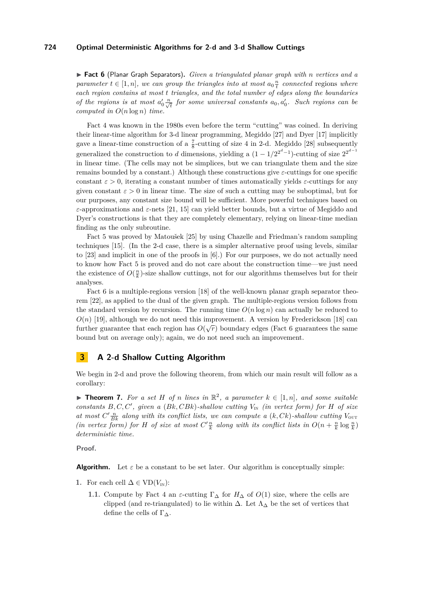<span id="page-5-1"></span>▶ Fact 6 (Planar Graph Separators). *Given a triangulated planar graph with n vertices and a parameter*  $t \in [1, n]$ *, we can group the triangles into at most*  $a_0 \frac{n}{t}$  *connected* regions *where each region contains at most t triangles, and the total number of edges along the boundaries of the regions is at most*  $a'_0 \frac{n}{\sqrt{t}}$  *for some universal constants*  $a_0, a'_0$ *. Such regions can be computed in O*(*n* log *n*) *time.*

Fact [4](#page-4-1) was known in the 1980s even before the term "cutting" was coined. In deriving their linear-time algorithm for 3-d linear programming, Megiddo [\[27\]](#page-11-7) and Dyer [\[17\]](#page-10-8) implicitly gave a linear-time construction of a  $\frac{7}{8}$ -cutting of size 4 in 2-d. Megiddo [\[28\]](#page-11-5) subsequently generalized the construction to *d* dimensions, yielding a  $(1 - 1/2^{2^d-1})$ -cutting of size  $2^{2^{d-1}}$ in linear time. (The cells may not be simplices, but we can triangulate them and the size remains bounded by a constant.) Although these constructions give *ε*-cuttings for one specific constant  $\varepsilon > 0$ , iterating a constant number of times automatically yields  $\varepsilon$ -cuttings for any given constant  $\varepsilon > 0$  in linear time. The size of such a cutting may be suboptimal, but for our purposes, any constant size bound will be sufficient. More powerful techniques based on *ε*-approximations and *ε*-nets [\[21,](#page-11-2) [15\]](#page-10-1) can yield better bounds, but a virtue of Megiddo and Dyer's constructions is that they are completely elementary, relying on linear-time median finding as the only subroutine.

Fact [5](#page-4-2) was proved by Matoušek [\[25\]](#page-11-0) by using Chazelle and Friedman's random sampling techniques [\[15\]](#page-10-1). (In the 2-d case, there is a simpler alternative proof using levels, similar to [\[23\]](#page-11-3) and implicit in one of the proofs in [\[6\]](#page-10-16).) For our purposes, we do not actually need to know how Fact [5](#page-4-2) is proved and do not care about the construction time—we just need the existence of  $O(\frac{n}{k})$ -size shallow cuttings, not for our algorithms themselves but for their analyses.

Fact [6](#page-5-1) is a multiple-regions version [\[18\]](#page-10-17) of the well-known planar graph separator theorem [\[22\]](#page-11-8), as applied to the dual of the given graph. The multiple-regions version follows from the standard version by recursion. The running time  $O(n \log n)$  can actually be reduced to  $O(n)$  [\[19\]](#page-10-18), although we do not need this improvement. A version by Frederickson [\[18\]](#page-10-17) can  $O(n)$  [15], anthough we do not need this improvement. A version by Prederickson [16] can<br>further guarantee that each region has  $O(\sqrt{r})$  boundary edges (Fact [6](#page-5-1) guarantees the same bound but on average only); again, we do not need such an improvement.

# <span id="page-5-0"></span>**3 A 2-d Shallow Cutting Algorithm**

We begin in 2-d and prove the following theorem, from which our main result will follow as a corollary:

<span id="page-5-3"></span>▶ **Theorem 7.** For a set *H* of *n* lines in  $\mathbb{R}^2$ , a parameter  $k \in [1, n]$ , and some suitable *constants*  $B, C, C'$ , given a  $(Bk, CBk)$ -shallow cutting  $V_{\text{IN}}$  *(in vertex form) for H* of size *at most*  $C'$ <sup>*n*</sup><sub>*Bk*</sub> *along with its conflict lists, we can compute a (k, Ck)*-shallow cutting  $V_{\text{out}}$ *(in vertex form) for H of size at most*  $C'$ <sup>*n*</sup><sub>*k*</sub></sub> *along with its conflict lists in*  $O(n + \frac{n}{k} \log \frac{n}{k})$ *deterministic time.*

**Proof.**

**Algorithm.** Let  $\varepsilon$  be a constant to be set later. Our algorithm is conceptually simple:

- <span id="page-5-2"></span>**1.** For each cell  $\Delta$  ∈ VD( $V_{\text{IN}}$ ):
	- **1.1.** Compute by Fact [4](#page-4-1) an  $\varepsilon$ -cutting  $\Gamma_{\Delta}$  for  $H_{\Delta}$  of  $O(1)$  size, where the cells are clipped (and re-triangulated) to lie within  $\Delta$ . Let  $\Lambda_{\Delta}$  be the set of vertices that define the cells of  $\Gamma_{\Delta}$ .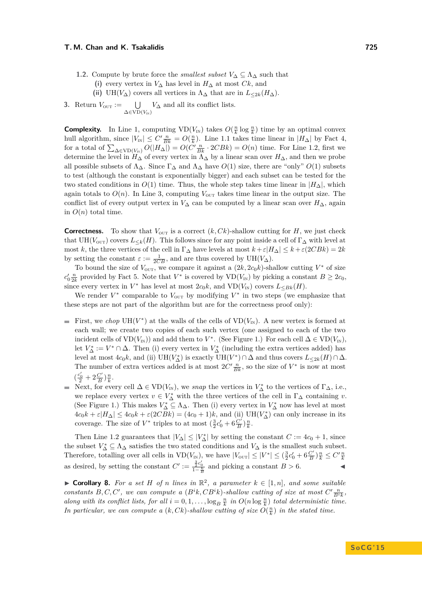- **1.2.** Compute by brute force the *smallest subset*  $V_{\Delta} \subseteq \Lambda_{\Delta}$  such that
	- **(i)** every vertex in *V*<sup>∆</sup> has level in *H*<sup>∆</sup> at most *Ck*, and
	- (ii) UH( $V_{\Delta}$ ) covers all vertices in  $\Lambda_{\Delta}$  that are in  $L_{\leq 2k}(H_{\Delta})$ .
- <span id="page-6-0"></span>**3.** Return  $V_{\text{OUT}} := \bigcup$  $\bigcup_{\Delta \in \text{VD}(V_{\text{IN}})} V_{\Delta}$  and all its conflict lists.

**Complexity.** In Line [1,](#page-5-2) computing  $VD(V_{\text{IN}})$  takes  $O(\frac{n}{k} \log \frac{n}{k})$  time by an optimal convex hull algorithm, since  $|V_{\text{IN}}| \leq C' \frac{n}{Bk} = O(\frac{n}{k})$ . Line [1.](#page-5-2)1 takes time linear in  $|H_{\Delta}|$  by Fact [4,](#page-4-1) for a total of  $\sum_{\Delta \in \text{VD}(V_{\text{IN}})} O(|H_{\Delta}|) = O(C' \frac{n}{Bk} \cdot 2C Bk) = O(n)$  time. For Line [1.](#page-5-2)2, first we determine the level in  $H_{\Delta}$  of every vertex in  $\Lambda_{\Delta}$  by a linear scan over  $H_{\Delta}$ , and then we probe all possible subsets of  $\Lambda_{\Delta}$ . Since  $\Gamma_{\Delta}$  and  $\Lambda_{\Delta}$  have  $O(1)$  size, there are "only"  $O(1)$  subsets to test (although the constant is exponentially bigger) and each subset can be tested for the two stated conditions in  $O(1)$  time. Thus, the whole step takes time linear in  $|H_{\Delta}|$ , which again totals to  $O(n)$ . In Line [3,](#page-6-0) computing  $V_{\text{OUT}}$  takes time linear in the output size. The conflict list of every output vertex in  $V_{\Delta}$  can be computed by a linear scan over  $H_{\Delta}$ , again in  $O(n)$  total time.

**Correctness.** To show that  $V_{\text{OUT}}$  is a correct  $(k, Ck)$ -shallow cutting for *H*, we just check that UH( $V_{\text{OUT}}$ ) covers  $L_{\leq k}(H)$ . This follows since for any point inside a cell of  $\Gamma_{\Delta}$  with level at most *k*, the three vertices of the cell in  $\Gamma_{\Delta}$  have levels at most  $k + \varepsilon |H_{\Delta}| \leq k + \varepsilon (2CBk) = 2k$ by setting the constant  $\varepsilon := \frac{1}{2CB}$ , and are thus covered by UH( $V_{\Delta}$ ).

To bound the size of  $V_{\text{OUT}}$ , we compare it against a  $(2k, 2c_0k)$ -shallow cutting  $V^*$  of size  $c'_0 \frac{n}{2k}$  provided by Fact [5.](#page-4-2) Note that *V*<sup>\*</sup> is covered by  $VD(V_{\text{IN}})$  by picking a constant  $B \geq 2c_0$ , since every vertex in  $V^*$  has level at most  $2c_0k$ , and  $VD(V_{\text{IN}})$  covers  $L_{\leq Bk}(H)$ .

We render  $V^*$  comparable to  $V_{\text{OUT}}$  by modifying  $V^*$  in two steps (we emphasize that these steps are not part of the algorithm but are for the correctness proof only):

- First, we *chop*  $UH(V^*)$  at the walls of the cells of  $VD(V_{\text{IN}})$ . A new vertex is formed at each wall; we create two copies of each such vertex (one assigned to each of the two incident cells of  $VD(V_{\text{IN}})$  and add them to  $V^*$ . (See Figure [1.](#page-7-1)) For each cell  $\Delta \in VD(V_{\text{IN}})$ , let  $V^*_{\Delta} := V^* \cap \Delta$ . Then (i) every vertex in  $V^*_{\Delta}$  (including the extra vertices added) has level at most  $4c_0k$ , and (ii)  $UH(V^*_{\Delta})$  is exactly  $UH(V^*)\cap \Delta$  and thus covers  $L_{\leq 2k}(H)\cap \Delta$ . The number of extra vertices added is at most  $2C'\frac{n}{Bk}$ , so the size of  $V^*$  is now at most  $\left(\frac{c_0'}{2}+2\frac{C'}{B}\right)$  $\frac{C'}{B}$ ) $\frac{n}{k}$ .
- Next, for every cell  $\Delta \in \text{VD}(V_{\text{IN}})$ , we *snap* the vertices in  $V_{\Delta}^*$  to the vertices of  $\Gamma_{\Delta}$ , i.e., we replace every vertex  $v \in V^*_{\Delta}$  with the three vertices of the cell in  $\Gamma_{\Delta}$  containing *v*. (See Figure [1.](#page-7-1)) This makes  $V^*_{\Delta} \subseteq \Lambda_{\Delta}$ . Then (i) every vertex in  $V^*_{\Delta}$  now has level at most  $4c_0k + \varepsilon|H_\Delta| \leq 4c_0k + \varepsilon(2CBk) = (4c_0 + 1)k$ , and (ii)  $\text{UH}(V_\Delta^*)$  can only increase in its coverage. The size of  $V^*$  triples to at most  $(\frac{3}{2}c'_0 + 6\frac{C'}{B})$  $\frac{C'}{B}$ ) $\frac{n}{k}$ .

Then Line [1.](#page-5-2)2 guarantees that  $|V_{\Delta}| \leq |V_{\Delta}^*|$  by setting the constant  $C := 4c_0 + 1$ , since the subset  $V^*_{\Delta} \subseteq \Lambda_{\Delta}$  satisfies the two stated conditions and  $V_{\Delta}$  is the smallest such subset. Therefore, totalling over all cells in  $VD(V_{IN})$ , we have  $|V_{OUT}| \leq |V^*| \leq (\frac{3}{2}c'_0 + 6\frac{C'}{B})$  $\frac{C'}{B}$  $\rangle \frac{n}{k} \leq C' \frac{n}{k}$ as desired, by setting the constant  $C' := \frac{\frac{3}{2}c'_0}{1-\frac{6}{B}}$  and picking a constant  $B > 6$ .

▶ **Corollary 8.** For a set *H* of *n* lines in  $\mathbb{R}^2$ , a parameter  $k \in [1, n]$ , and some suitable *constants*  $B, C, C'$ , we can compute a  $(B<sup>i</sup>k, CB<sup>i</sup>k)$ -shallow cutting of size at most  $C'$ <sub> $\frac{n}{B<sup>i</sup>k}$ </sub>, *along with its conflict lists, for all*  $i = 0, 1, \ldots, \log_B \frac{n}{k}$  *in*  $O(n \log \frac{n}{k})$  *total deterministic time.* In particular, we can compute a  $(k, Ck)$ -shallow cutting of size  $O(\frac{n}{k})$  in the stated time.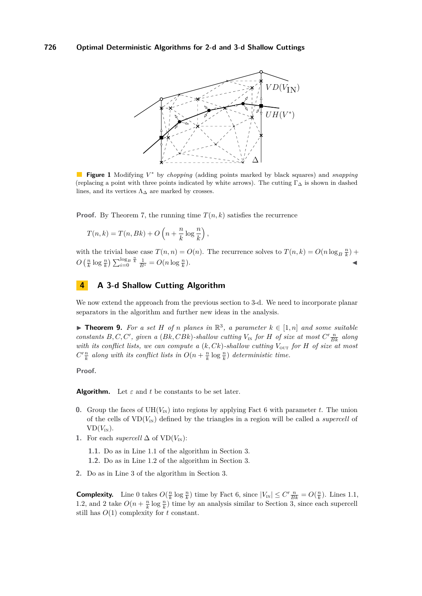<span id="page-7-1"></span>

**Figure 1** Modifying *V* <sup>∗</sup> by *chopping* (adding points marked by black squares) and *snapping* (replacing a point with three points indicated by white arrows). The cutting  $\Gamma_{\Delta}$  is shown in dashed lines, and its vertices  $\Lambda_{\Delta}$  are marked by crosses.

**Proof.** By Theorem [7,](#page-5-3) the running time  $T(n, k)$  satisfies the recurrence

$$
T(n,k) = T(n,Bk) + O\left(n + \frac{n}{k}\log\frac{n}{k}\right),\,
$$

with the trivial base case  $T(n,n) = O(n)$ . The recurrence solves to  $T(n,k) = O(n \log_B \frac{n}{k})$  +  $O\left(\frac{n}{k}\log\frac{n}{k}\right)\sum_{i=0}^{\log_B\frac{n}{k}}\frac{1}{B^i}=O(n\log\frac{n}{k})$ )*.* J

# <span id="page-7-0"></span>**4 A 3-d Shallow Cutting Algorithm**

We now extend the approach from the previous section to 3-d. We need to incorporate planar separators in the algorithm and further new ideas in the analysis.

▶ **Theorem 9.** For a set *H* of *n* planes in  $\mathbb{R}^3$ , a parameter  $k \in [1, n]$  and some suitable *constants*  $B, C, C'$ , given a  $(Bk, CBk)$ -shallow cutting  $V_{\text{IN}}$  for *H* of size at most  $C' \frac{n}{Bk}$  along *with its conflict lists, we can compute a*  $(k, Ck)$ -shallow cutting  $V_{\text{OUT}}$  for H of size at most  $C'\frac{n}{k}$  along with its conflict lists in  $O(n + \frac{n}{k} \log \frac{n}{k})$  deterministic time.

**Proof.**

**Algorithm.** Let  $\varepsilon$  and  $t$  be constants to be set later.

- **0.** Group the faces of  $UH(V_{IN})$  into regions by applying Fact [6](#page-5-1) with parameter *t*. The union of the cells of  $VD(V_{IN})$  defined by the triangles in a region will be called a *supercell* of  $VD(V_{IN}).$
- 1. For each *supercell*  $\Delta$  of VD( $V_{\text{IN}}$ ):
	- **1.1.** Do as in Line [1.](#page-5-2)1 of the algorithm in Section [3.](#page-5-0)
	- **1.2.** Do as in Line [1.](#page-5-2)2 of the algorithm in Section [3.](#page-5-0)
- **2.** Do as in Line [3](#page-6-0) of the algorithm in Section [3.](#page-5-0)

**Complexity.** Line 0 takes  $O(\frac{n}{k} \log \frac{n}{k})$  time by Fact [6,](#page-5-1) since  $|V_{\text{IN}}| \leq C' \frac{n}{Bk} = O(\frac{n}{k})$ . Lines 1.1, 1.2, and 2 take  $O(n + \frac{n}{k} \log \frac{n}{k})$  time by an analysis similar to Section [3,](#page-5-0) since each supercell still has *O*(1) complexity for *t* constant.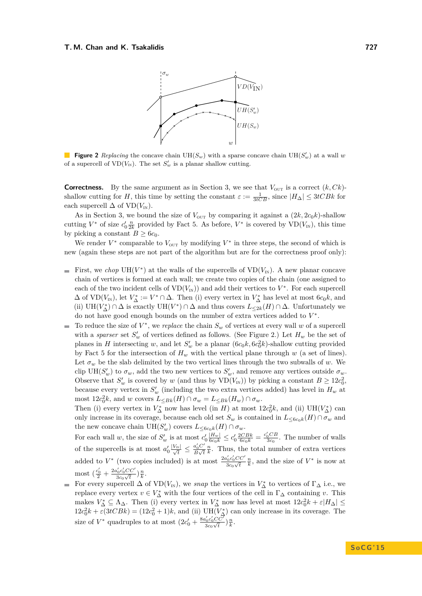<span id="page-8-0"></span>

**Figure 2** Replacing the concave chain  $UH(S_w)$  with a sparse concave chain  $UH(S'_w)$  at a wall w of a supercell of  $VD(V_{IN})$ . The set  $S'_w$  is a planar shallow cutting.

**Correctness.** By the same argument as in Section [3,](#page-5-0) we see that  $V_{\text{OUT}}$  is a correct  $(k, Ck)$ shallow cutting for *H*, this time by setting the constant  $\varepsilon := \frac{1}{3tCB}$ , since  $|H_{\Delta}| \leq 3tCBk$  for each supercell  $\Delta$  of VD( $V_{\text{IN}}$ ).

As in Section [3,](#page-5-0) we bound the size of  $V_{\text{OUT}}$  by comparing it against a  $(2k, 2c_0k)$ -shallow cutting  $V^*$  of size  $c'_0 \frac{n}{2k}$  provided by Fact [5.](#page-4-2) As before,  $V^*$  is covered by  $VD(V_{\text{IN}})$ , this time by picking a constant  $B \geq 6c_0$ .

We render  $V^*$  comparable to  $V_{\text{OUT}}$  by modifying  $V^*$  in three steps, the second of which is new (again these steps are not part of the algorithm but are for the correctness proof only):

- First, we *chop*  $UH(V^*)$  at the walls of the supercells of  $VD(V_{IN})$ . A new planar concave  $\rightarrow$ chain of vertices is formed at each wall; we create two copies of the chain (one assigned to each of the two incident cells of  $VD(V_{N})$  and add their vertices to  $V^*$ . For each supercell  $\Delta$  of  $VD(V_{\text{IN}})$ , let  $V_{\Delta}^* := V^* \cap \Delta$ . Then (i) every vertex in  $V_{\Delta}^*$  has level at most  $6c_0k$ , and (ii) UH( $V^*_{\Delta}$ ) ∩  $\Delta$  is exactly UH( $V^*$ ) ∩  $\Delta$  and thus covers  $L_{\leq 2k}(H)$  ∩  $\Delta$ . Unfortunately we do not have good enough bounds on the number of extra vertices added to *V* ∗ .
- To reduce the size of  $V^*$ , we *replace* the chain  $S_w$  of vertices at every wall *w* of a supercell  $\overline{\phantom{a}}$ with a *sparser* set  $S'_w$  of vertices defined as follows. (See Figure [2.](#page-8-0)) Let  $H_w$  be the set of planes in *H* intersecting *w*, and let  $S'_w$  be a planar  $(6c_0k, 6c_0^2k)$ -shallow cutting provided by Fact [5](#page-4-2) for the intersection of  $H_w$  with the vertical plane through  $w$  (a set of lines). Let  $\sigma_w$  be the slab delimited by the two vertical lines through the two subwalls of *w*. We clip UH( $S'_w$ ) to  $\sigma_w$ , add the two new vertices to  $S'_w$ , and remove any vertices outside  $\sigma_w$ . Observe that  $S'_w$  is covered by *w* (and thus by  $VD(V_{N})$ ) by picking a constant  $B \geq 12c_0^2$ , because every vertex in  $S'_w$  (including the two extra vertices added) has level in  $H_w$  at most  $12c_0^2k$ , and *w* covers  $L_{\leq Bk}(H) \cap \sigma_w = L_{\leq Bk}(H_w) \cap \sigma_w$ .

Then (i) every vertex in  $V_{\Delta}^*$  now has level (in *H*) at most  $12c_0^2k$ , and (ii)  $UH(V_{\Delta}^*)$  can only increase in its coverage, because each old set  $S_w$  is contained in  $L_{\leq 6c_0k}(H) \cap \sigma_w$  and the new concave chain  $UH(S_w')$  covers  $L_{\leq 6c_0k}(H) \cap \sigma_w$ .

For each wall *w*, the size of  $S'_w$  is at most  $c'_0 \frac{|H_w|}{6c_0k} \le c'_0 \frac{2CBk}{6c_0k} = \frac{c'_0CB}{3c_0}$ . The number of walls of the supercells is at most  $a'_0 \frac{|V_{\text{IN}}|}{\sqrt{t}} \leq \frac{a'_0 C'}{B \sqrt{t}}$  $\frac{a_0 \sigma}{B \sqrt{t}}$  $\frac{n}{k}$ . Thus, the total number of extra vertices added to  $V^*$  (two copies included) is at most  $\frac{2a'_0c'_0CC'}{a_0c_0T}$  $rac{a_0c_0}{c_0\sqrt{t}}$  $\frac{n}{k}$ , and the size of  $V^*$  is now at most  $\left(\frac{c'_0}{2} + \frac{2a'_0c'_0CC'}{3c_0\sqrt{t}}\right)$  $\frac{a'_0c'_0CC'}{3c_0\sqrt{t}}$   $\Big)\frac{n}{k}$ .

For every supercell  $\Delta$  of  $VD(V_{\text{IN}})$ , we *snap* the vertices in  $V_{\Delta}^*$  to vertices of  $\Gamma_{\Delta}$  i.e., we replace every vertex  $v \in V^*_{\Delta}$  with the four vertices of the cell in  $\Gamma_{\Delta}$  containing *v*. This makes  $V_{\Delta}^* \subseteq \Lambda_{\Delta}$ . Then (i) every vertex in  $V_{\Delta}^*$  now has level at most  $12c_0^2k + \varepsilon|H_{\Delta}| \leq$  $12c_0^2k + \varepsilon(3tCBk) = (12c_0^2 + 1)k$ , and (ii)  $UH(V^*_{\Delta})$  can only increase in its coverage. The size of  $V^*$  quadruples to at most  $(2c'_0 + \frac{8a'_0c'_0CC'}{3c_0\sqrt{t}})$  $\frac{a'_0c'_0CC'}{3c_0\sqrt{t}}$   $\Big)\frac{n}{k}$ .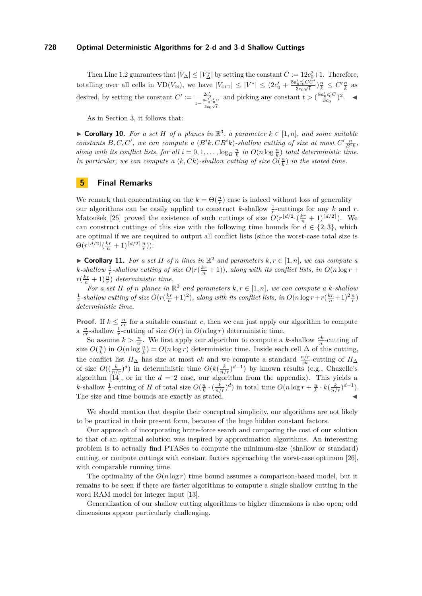Then Line [1.](#page-5-2)2 guarantees that  $|V_{\Delta}| \leq |V_{\Delta}^*|$  by setting the constant  $C := 12c_0^2 + 1$ . Therefore, totalling over all cells in  $VD(V_{N})$ , we have  $|V_{\text{OUT}}| \leq |V^*| \leq (2c'_0 + \frac{8a'_0c'_0CC'}{3c_0\sqrt{t}})$  $\frac{a'_0 c'_0 CC'}{3c_0 \sqrt{t}}$   $\Big) \frac{n}{k} \leq C' \frac{n}{k}$  as desired, by setting the constant  $C' := \frac{2c_0'}{8a'}$  $\frac{8a'_0c'_0C}{1-\frac{2c_0G}{a}}$  $rac{0}{3c_0\sqrt{t}}$ and picking any constant  $t > (\frac{8a'_0c'_0C}{3c_0})^2$ .

As in Section [3,](#page-5-0) it follows that:

▶ **Corollary 10.** For a set *H* of *n* planes in  $\mathbb{R}^3$ , a parameter  $k \in [1, n]$ , and some suitable *constants*  $B, C, C'$ , we can compute a  $(B<sup>i</sup>k, CB<sup>i</sup>k)$ -shallow cutting of size at most  $C'$ <sub> $\frac{n}{B<sup>i</sup>k}$ </sub>, *along with its conflict lists, for all*  $i = 0, 1, \ldots, \log_B \frac{n}{k}$  *in*  $O(n \log \frac{n}{k})$  *total deterministic time.* In particular, we can compute a  $(k, Ck)$ -shallow cutting of size  $O(\frac{n}{k})$  in the stated time.

### <span id="page-9-0"></span>**5 Final Remarks**

We remark that concentrating on the  $k = \Theta(\frac{n}{r})$  case is indeed without loss of generality our algorithms can be easily applied to construct *k*-shallow  $\frac{1}{r}$ -cuttings for any *k* and *r*. Matoušek [\[25\]](#page-11-0) proved the existence of such cuttings of size  $O(r^{\lfloor d/2 \rfloor} (\frac{kr}{n} + 1)^{\lceil d/2 \rceil})$ . We can construct cuttings of this size with the following time bounds for  $d \in \{2,3\}$ , which are optimal if we are required to output all conflict lists (since the worst-case total size is  $\Theta(r^{\lfloor d/2 \rfloor}(\frac{kr}{n}+1)^{\lceil d/2 \rceil}\frac{n}{r}))$ :

▶ **Corollary 11.** *For a set H of n lines in*  $\mathbb{R}^2$  *and parameters*  $k, r \in [1, n]$ *, we can compute a k*-shallow  $\frac{1}{r}$ -shallow cutting of size  $O(r(\frac{kr}{n} + 1))$ , along with its conflict lists, in  $O(n \log r + 1)$  $r(\frac{kr}{n} + 1)\frac{n}{r})$  *deterministic time.* 

*For a set H of n planes in*  $\mathbb{R}^3$  *and parameters*  $k, r \in [1, n]$ *, we can compute a k*-shallow  $\frac{1}{r}$ -shallow cutting of size  $O(r(\frac{kr}{n}+1)^2)$ , along with its conflict lists, in  $O(n \log r + r(\frac{kr}{n}+1)^2 \frac{n}{r})$ *deterministic time.*

**Proof.** If  $k \leq \frac{n}{cr}$  for a suitable constant *c*, then we can just apply our algorithm to compute a  $\frac{n}{cr}$ -shallow  $\frac{1}{r}$ -cutting of size  $O(r)$  in  $O(n \log r)$  deterministic time.

So assume  $k > \frac{n}{cr}$ . We first apply our algorithm to compute a *k*-shallow  $\frac{ck}{n}$ -cutting of size  $O(\frac{n}{k})$  in  $O(n \log \frac{n}{k}) = O(n \log r)$  deterministic time. Inside each cell  $\Delta$  of this cutting, the conflict list  $H_{\Delta}$  has size at most *ck* and we compute a standard  $\frac{n/r}{ck}$ -cutting of  $H_{\Delta}$ of size  $O((\frac{k}{n/r})^d)$  in deterministic time  $O(k(\frac{k}{n/r})^{d-1})$  by known results (e.g., Chazelle's algorithm  $[14]$ , or in the  $d = 2$  case, our algorithm from the appendix). This yields a k-shallow  $\frac{1}{r}$ -cutting of H of total size  $O(\frac{n}{k} \cdot (\frac{k}{n/r})^d)$  in total time  $O(n \log r + \frac{n}{k} \cdot k(\frac{k}{n/r})^{d-1})$ . The size and time bounds are exactly as stated.

We should mention that despite their conceptual simplicity, our algorithms are not likely to be practical in their present form, because of the huge hidden constant factors.

Our approach of incorporating brute-force search and comparing the cost of our solution to that of an optimal solution was inspired by approximation algorithms. An interesting problem is to actually find PTASes to compute the minimum-size (shallow or standard) cutting, or compute cuttings with constant factors approaching the worst-case optimum [\[26\]](#page-11-9), with comparable running time.

The optimality of the  $O(n \log r)$  time bound assumes a comparison-based model, but it remains to be seen if there are faster algorithms to compute a single shallow cutting in the word RAM model for integer input [\[13\]](#page-10-19).

Generalization of our shallow cutting algorithms to higher dimensions is also open; odd dimensions appear particularly challenging.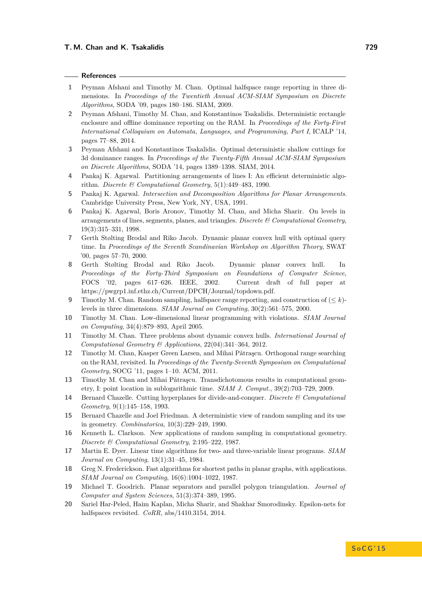#### **References**

- <span id="page-10-9"></span>**1** Peyman Afshani and Timothy M. Chan. Optimal halfspace range reporting in three dimensions. In *Proceedings of the Twentieth Annual ACM-SIAM Symposium on Discrete Algorithms*, SODA '09, pages 180–186. SIAM, 2009.
- <span id="page-10-6"></span>**2** Peyman Afshani, Timothy M. Chan, and Konstantinos Tsakalidis. Deterministic rectangle enclosure and offline dominance reporting on the RAM. In *Proceedings of the Forty-First International Colloquium on Automata, Languages, and Programming, Part I*, ICALP '14, pages 77–88, 2014.
- <span id="page-10-5"></span>**3** Peyman Afshani and Konstantinos Tsakalidis. Optimal deterministic shallow cuttings for 3d dominance ranges. In *Proceedings of the Twenty-Fifth Annual ACM-SIAM Symposium on Discrete Algorithms*, SODA '14, pages 1389–1398. SIAM, 2014.
- <span id="page-10-2"></span>**4** Pankaj K. Agarwal. Partitioning arrangements of lines I: An efficient deterministic algorithm. *Discrete & Computational Geometry*, 5(1):449–483, 1990.
- <span id="page-10-3"></span>**5** Pankaj K. Agarwal. *Intersection and Decomposition Algorithms for Planar Arrangements*. Cambridge University Press, New York, NY, USA, 1991.
- <span id="page-10-16"></span>**6** Pankaj K. Agarwal, Boris Aronov, Timothy M. Chan, and Micha Sharir. On levels in arrangements of lines, segments, planes, and triangles. *Discrete & Computational Geometry*, 19(3):315–331, 1998.
- <span id="page-10-11"></span>**7** Gerth Stølting Brodal and Riko Jacob. Dynamic planar convex hull with optimal query time. In *Proceedings of the Seventh Scandinavian Workshop on Algorithm Theory*, SWAT '00, pages 57–70, 2000.
- <span id="page-10-12"></span>**8** Gerth Stølting Brodal and Riko Jacob. Dynamic planar convex hull. In *Proceedings of the Forty-Third Symposium on Foundations of Computer Science*, FOCS '02, pages 617–626. IEEE, 2002. Current draft of full paper at https://pwgrp1.inf.ethz.ch/Current/DPCH/Journal/topdown.pdf.
- <span id="page-10-10"></span>**9** Timothy M. Chan. Random sampling, halfspace range reporting, and construction of (≤ *k*) levels in three dimensions. *SIAM Journal on Computing*, 30(2):561–575, 2000.
- <span id="page-10-13"></span>**10** Timothy M. Chan. Low-dimensional linear programming with violations. *SIAM Journal on Computing*, 34(4):879–893, April 2005.
- <span id="page-10-14"></span>**11** Timothy M. Chan. Three problems about dynamic convex hulls. *International Journal of Computational Geometry & Applications*, 22(04):341–364, 2012.
- <span id="page-10-7"></span>**12** Timothy M. Chan, Kasper Green Larsen, and Mihai Pǎtrascu. Orthogonal range searching on the RAM, revisited. In *Proceedings of the Twenty-Seventh Symposium on Computational Geometry*, SOCG '11, pages 1–10. ACM, 2011.
- <span id="page-10-19"></span>13 Timothy M. Chan and Mihai Pǎtraşcu. Transdichotomous results in computational geometry, I: point location in sublogarithmic time. *SIAM J. Comput.*, 39(2):703–729, 2009.
- <span id="page-10-4"></span>**14** Bernard Chazelle. Cutting hyperplanes for divide-and-conquer. *Discrete & Computational Geometry*, 9(1):145–158, 1993.
- <span id="page-10-1"></span>**15** Bernard Chazelle and Joel Friedman. A deterministic view of random sampling and its use in geometry. *Combinatorica*, 10(3):229–249, 1990.
- <span id="page-10-0"></span>**16** Kenneth L. Clarkson. New applications of random sampling in computational geometry. *Discrete & Computational Geometry*, 2:195–222, 1987.
- <span id="page-10-8"></span>**17** Martin E. Dyer. Linear time algorithms for two- and three-variable linear programs. *SIAM Journal on Computing*, 13(1):31–45, 1984.
- <span id="page-10-17"></span>**18** Greg N. Frederickson. Fast algorithms for shortest paths in planar graphs, with applications. *SIAM Journal on Computing*, 16(6):1004–1022, 1987.
- <span id="page-10-18"></span>**19** Michael T. Goodrich. Planar separators and parallel polygon triangulation. *Journal of Computer and System Sciences*, 51(3):374–389, 1995.
- <span id="page-10-15"></span>**20** Sariel Har-Peled, Haim Kaplan, Micha Sharir, and Shakhar Smorodinsky. Epsilon-nets for halfspaces revisited. *CoRR*, abs/1410.3154, 2014.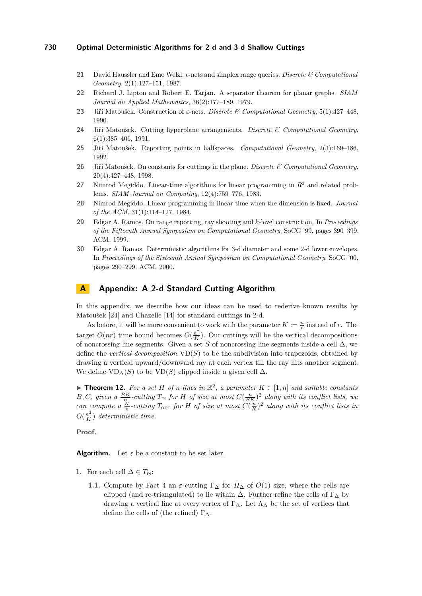- <span id="page-11-2"></span>**21** David Haussler and Emo Welzl.  $\epsilon$ -nets and simplex range queries. *Discrete & Computational Geometry*, 2(1):127–151, 1987.
- <span id="page-11-8"></span>**22** Richard J. Lipton and Robert E. Tarjan. A separator theorem for planar graphs. *SIAM Journal on Applied Mathematics*, 36(2):177–189, 1979.
- <span id="page-11-3"></span>**23** Jiří Matoušek. Construction of *ε*-nets. *Discrete & Computational Geometry*, 5(1):427–448, 1990.
- <span id="page-11-4"></span>**24** Jiří Matoušek. Cutting hyperplane arrangements. *Discrete & Computational Geometry*, 6(1):385–406, 1991.
- <span id="page-11-0"></span>**25** Jiří Matoušek. Reporting points in halfspaces. *Computational Geometry*, 2(3):169–186, 1992.
- <span id="page-11-9"></span>**26** Jiří Matoušek. On constants for cuttings in the plane. *Discrete & Computational Geometry*, 20(4):427–448, 1998.
- <span id="page-11-7"></span>**27** Nimrod Megiddo. Linear-time algorithms for linear programming in *R*<sup>3</sup> and related problems. *SIAM Journal on Computing*, 12(4):759–776, 1983.
- <span id="page-11-5"></span>**28** Nimrod Megiddo. Linear programming in linear time when the dimension is fixed. *Journal of the ACM*, 31(1):114–127, 1984.
- <span id="page-11-1"></span>**29** Edgar A. Ramos. On range reporting, ray shooting and *k*-level construction. In *Proceedings of the Fifteenth Annual Symposium on Computational Geometry*, SoCG '99, pages 390–399. ACM, 1999.
- <span id="page-11-6"></span>**30** Edgar A. Ramos. Deterministic algorithms for 3-d diameter and some 2-d lower envelopes. In *Proceedings of the Sixteenth Annual Symposium on Computational Geometry*, SoCG '00, pages 290–299. ACM, 2000.

# **A Appendix: A 2-d Standard Cutting Algorithm**

In this appendix, we describe how our ideas can be used to rederive known results by Matoušek [\[24\]](#page-11-4) and Chazelle [\[14\]](#page-10-4) for standard cuttings in 2-d.

As before, it will be more convenient to work with the parameter  $K := \frac{n}{r}$  instead of *r*. The target  $O(nr)$  time bound becomes  $O(\frac{n^2}{K})$  $\frac{n^2}{K}$ ). Our cuttings will be the vertical decompositions of noncrossing line segments. Given a set *S* of noncrossing line segments inside a cell  $\Delta$ , we define the *vertical decomposition* VD(*S*) to be the subdivision into trapezoids, obtained by drawing a vertical upward/downward ray at each vertex till the ray hits another segment. We define  $VD_{\Delta}(S)$  to be  $VD(S)$  clipped inside a given cell  $\Delta$ .

▶ **Theorem 12.** For a set *H* of *n* lines in  $\mathbb{R}^2$ , a parameter  $K \in [1, n]$  and suitable constants *B*, *C*, given a  $\frac{BK}{n}$ -cutting  $T_{\text{IN}}$  for *H* of size at most  $C(\frac{n}{BK})^2$  along with its conflict lists, we *can compute a*  $\frac{K}{n}$ -cutting  $T_{\text{OUT}}$  *for H of size at most*  $C(\frac{n}{K})^2$  *along with its conflict lists in*  $O(\frac{n^2}{K})$  $\frac{n^2}{K}$ ) deterministic time.

**Proof.**

**Algorithm.** Let  $\varepsilon$  be a constant to be set later.

- **1.** For each cell  $\Delta \in T_{\text{IN}}$ :
	- **1.1.** Compute by Fact [4](#page-4-1) an  $\varepsilon$ -cutting  $\Gamma_{\Delta}$  for  $H_{\Delta}$  of  $O(1)$  size, where the cells are clipped (and re-triangulated) to lie within  $\Delta$ . Further refine the cells of  $\Gamma_{\Delta}$  by drawing a vertical line at every vertex of  $\Gamma_{\Delta}$ . Let  $\Lambda_{\Delta}$  be the set of vertices that define the cells of (the refined)  $\Gamma_{\Delta}$ .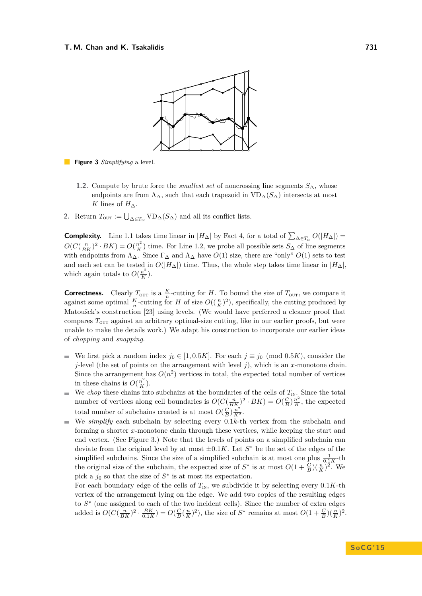<span id="page-12-0"></span>

**Figure 3** *Simplifying* a level.

- **1.2.** Compute by brute force the *smallest set* of noncrossing line segments *S*∆, whose endpoints are from  $\Lambda_{\Delta}$ , such that each trapezoid in  $VD_{\Delta}(S_{\Delta})$  intersects at most *K* lines of  $H_{\Delta}$ .
- 2. Return  $T_{\text{OUT}} := \bigcup_{\Delta \in T_{\text{IN}}} \text{VD}_{\Delta}(S_{\Delta})$  and all its conflict lists.

**Complexity.** Line 1.1 takes time linear in  $|H_{\Delta}|$  by Fact [4,](#page-4-1) for a total of  $\sum_{\Delta \in T_{\text{IN}}} O(|H_{\Delta}|)$  =  $O(C(\frac{n}{BK})^2 \cdot BK) = O(\frac{n^2}{K})$  $\binom{n^2}{K}$  time. For Line 1.2, we probe all possible sets  $S_{\Delta}$  of line segments with endpoints from  $\Lambda_{\Delta}$ . Since  $\Gamma_{\Delta}$  and  $\Lambda_{\Delta}$  have  $O(1)$  size, there are "only"  $O(1)$  sets to test and each set can be tested in  $O(|H_{\Delta}|)$  time. Thus, the whole step takes time linear in  $|H_{\Delta}|$ , which again totals to  $O(\frac{n^2}{K})$  $\frac{n^2}{K}$ ).

**Correctness.** Clearly  $T_{\text{OUT}}$  is a  $\frac{K}{n}$ -cutting for *H*. To bound the size of  $T_{\text{OUT}}$ , we compare it against some optimal  $\frac{K}{n}$ -cutting for *H* of size  $O((\frac{n}{K})^2)$ , specifically, the cutting produced by Matoušek's construction [\[23\]](#page-11-3) using levels. (We would have preferred a cleaner proof that compares  $T_{\text{OUT}}$  against an arbitrary optimal-size cutting, like in our earlier proofs, but were unable to make the details work.) We adapt his construction to incorporate our earlier ideas of *chopping* and *snapping*.

- We first pick a random index  $j_0 \in [1, 0.5K]$ . For each  $j \equiv j_0 \pmod{0.5K}$ , consider the *j*-level (the set of points on the arrangement with level *j*), which is an *x*-monotone chain. Since the arrangement has  $O(n^2)$  vertices in total, the expected total number of vertices in these chains is  $O(\frac{n^2}{K})$  $\frac{n^2}{K}$ ).
- We *chop* these chains into subchains at the boundaries of the cells of  $T_{\text{IN}}$ . Since the total  $\mathbf{r}$ number of vertices along cell boundaries is  $O(C(\frac{n}{BK})^2 \cdot BK) = O(\frac{C}{B})\frac{n^2}{K}$  $\frac{n^2}{K}$ , the expected total number of subchains created is at most  $O(\frac{C}{B})\frac{n^2}{K^2}$ .
- We *simplify* each subchain by selecting every 0*.*1*k*-th vertex from the subchain and  $\blacksquare$ forming a shorter *x*-monotone chain through these vertices, while keeping the start and end vertex. (See Figure [3.](#page-12-0)) Note that the levels of points on a simplified subchain can deviate from the original level by at most  $\pm 0.1K$ . Let  $S^*$  be the set of the edges of the simplified subchains. Since the size of a simplified subchain is at most one plus  $\frac{1}{0.1K}$ -th the original size of the subchain, the expected size of  $S^*$  is at most  $O(1 + \frac{C}{B})(\frac{n}{K})^2$ . We pick a  $j_0$  so that the size of  $S^*$  is at most its expectation.

For each boundary edge of the cells of  $T_{\text{IN}}$ , we subdivide it by selecting every 0.1*K*-th vertex of the arrangement lying on the edge. We add two copies of the resulting edges to  $S<sup>∗</sup>$  (one assigned to each of the two incident cells). Since the number of extra edges added is  $O(C(\frac{n}{BK})^2 \cdot \frac{BK}{0.1K}) = O(\frac{C}{B}(\frac{n}{K})^2)$ , the size of  $S^*$  remains at most  $O(1+\frac{C}{B})(\frac{n}{K})^2$ .